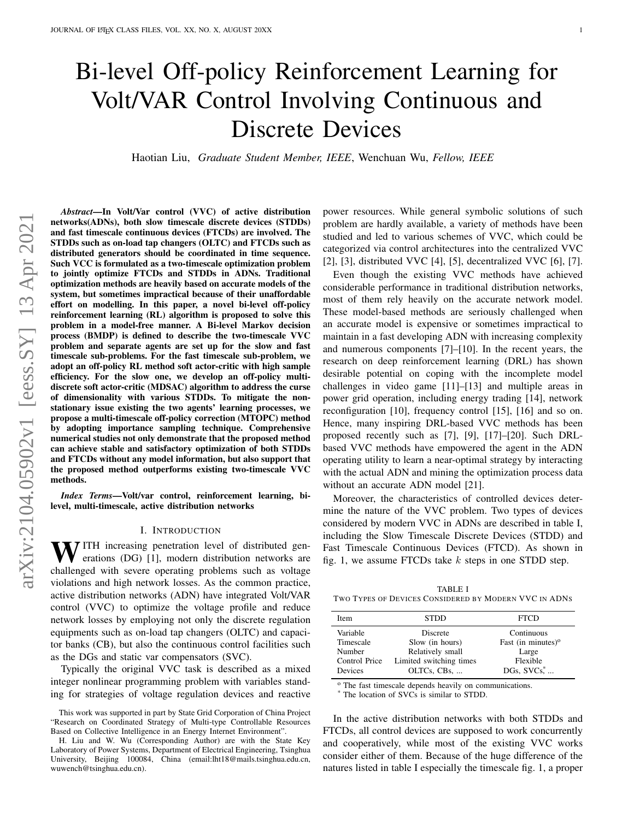# Bi-level Off-policy Reinforcement Learning for Volt/VAR Control Involving Continuous and Discrete Devices

Haotian Liu, *Graduate Student Member, IEEE*, Wenchuan Wu, *Fellow, IEEE*

*Abstract*—In Volt/Var control (VVC) of active distribution networks(ADNs), both slow timescale discrete devices (STDDs) and fast timescale continuous devices (FTCDs) are involved. The STDDs such as on-load tap changers (OLTC) and FTCDs such as distributed generators should be coordinated in time sequence. Such VCC is formulated as a two-timescale optimization problem to jointly optimize FTCDs and STDDs in ADNs. Traditional optimization methods are heavily based on accurate models of the system, but sometimes impractical because of their unaffordable effort on modelling. In this paper, a novel bi-level off-policy reinforcement learning (RL) algorithm is proposed to solve this problem in a model-free manner. A Bi-level Markov decision process (BMDP) is defined to describe the two-timescale VVC problem and separate agents are set up for the slow and fast timescale sub-problems. For the fast timescale sub-problem, we adopt an off-policy RL method soft actor-critic with high sample efficiency. For the slow one, we develop an off-policy multidiscrete soft actor-critic (MDSAC) algorithm to address the curse of dimensionality with various STDDs. To mitigate the nonstationary issue existing the two agents' learning processes, we propose a multi-timescale off-policy correction (MTOPC) method by adopting importance sampling technique. Comprehensive numerical studies not only demonstrate that the proposed method can achieve stable and satisfactory optimization of both STDDs and FTCDs without any model information, but also support that the proposed method outperforms existing two-timescale VVC methods.

*Index Terms*—Volt/var control, reinforcement learning, bilevel, multi-timescale, active distribution networks

#### I. INTRODUCTION

WITH increasing penetration level of distributed generations (DG) [\[1\]](#page-8-0), modern distribution networks are challenged with severe operating problems such as voltage violations and high network losses. As the common practice, active distribution networks (ADN) have integrated Volt/VAR control (VVC) to optimize the voltage profile and reduce network losses by employing not only the discrete regulation equipments such as on-load tap changers (OLTC) and capacitor banks (CB), but also the continuous control facilities such as the DGs and static var compensators (SVC).

Typically the original VVC task is described as a mixed integer nonlinear programming problem with variables standing for strategies of voltage regulation devices and reactive power resources. While general symbolic solutions of such problem are hardly available, a variety of methods have been studied and led to various schemes of VVC, which could be categorized via control architectures into the centralized VVC [\[2\]](#page-8-1), [\[3\]](#page-8-2), distributed VVC [\[4\]](#page-8-3), [\[5\]](#page-8-4), decentralized VVC [\[6\]](#page-9-0), [\[7\]](#page-9-1).

Even though the existing VVC methods have achieved considerable performance in traditional distribution networks, most of them rely heavily on the accurate network model. These model-based methods are seriously challenged when an accurate model is expensive or sometimes impractical to maintain in a fast developing ADN with increasing complexity and numerous components [\[7\]](#page-9-1)–[\[10\]](#page-9-2). In the recent years, the research on deep reinforcement learning (DRL) has shown desirable potential on coping with the incomplete model challenges in video game [\[11\]](#page-9-3)–[\[13\]](#page-9-4) and multiple areas in power grid operation, including energy trading [\[14\]](#page-9-5), network reconfiguration [\[10\]](#page-9-2), frequency control [\[15\]](#page-9-6), [\[16\]](#page-9-7) and so on. Hence, many inspiring DRL-based VVC methods has been proposed recently such as [\[7\]](#page-9-1), [\[9\]](#page-9-8), [\[17\]](#page-9-9)–[\[20\]](#page-9-10). Such DRLbased VVC methods have empowered the agent in the ADN operating utility to learn a near-optimal strategy by interacting with the actual ADN and mining the optimization process data without an accurate ADN model [\[21\]](#page-9-11).

Moreover, the characteristics of controlled devices determine the nature of the VVC problem. Two types of devices considered by modern VVC in ADNs are described in table [I,](#page-0-0) including the Slow Timescale Discrete Devices (STDD) and Fast Timescale Continuous Devices (FTCD). As shown in fig. [1,](#page-1-0) we assume FTCDs take  $k$  steps in one STDD step.

<span id="page-0-0"></span>TABLE I TWO TYPES OF DEVICES CONSIDERED BY MODERN VVC IN ADNS

| Item          | <b>STDD</b>             | <b>FTCD</b>                  |
|---------------|-------------------------|------------------------------|
| Variable      | Discrete                | Continuous                   |
| Timescale     | Slow (in hours)         | Fast (in minutes) $^{\circ}$ |
| Number        | Relatively small        | Large                        |
| Control Price | Limited switching times | Flexible                     |
| Devices       | OLTCs, CBs,             | DGs, $SVCs$ , $\ldots$       |

<sup>o</sup> The fast timescale depends heavily on communications.

\* The location of SVCs is similar to STDD.

In the active distribution networks with both STDDs and FTCDs, all control devices are supposed to work concurrently and cooperatively, while most of the existing VVC works consider either of them. Because of the huge difference of the natures listed in table [I](#page-0-0) especially the timescale fig. [1,](#page-1-0) a proper

This work was supported in part by State Grid Corporation of China Project "Research on Coordinated Strategy of Multi-type Controllable Resources Based on Collective Intelligence in an Energy Internet Environment".

H. Liu and W. Wu (Corresponding Author) are with the State Key Laboratory of Power Systems, Department of Electrical Engineering, Tsinghua University, Beijing 100084, China (email:lht18@mails.tsinghua.edu.cn, wuwench@tsinghua.edu.cn).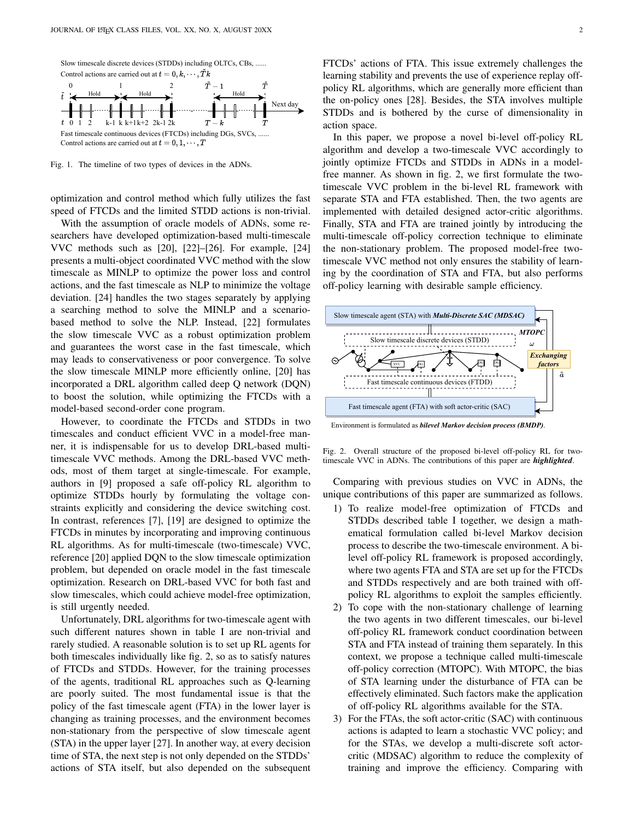

<span id="page-1-0"></span>Fig. 1. The timeline of two types of devices in the ADNs.

optimization and control method which fully utilizes the fast speed of FTCDs and the limited STDD actions is non-trivial.

With the assumption of oracle models of ADNs, some researchers have developed optimization-based multi-timescale VVC methods such as [\[20\]](#page-9-10), [\[22\]](#page-9-12)–[\[26\]](#page-9-13). For example, [\[24\]](#page-9-14) presents a multi-object coordinated VVC method with the slow timescale as MINLP to optimize the power loss and control actions, and the fast timescale as NLP to minimize the voltage deviation. [\[24\]](#page-9-14) handles the two stages separately by applying a searching method to solve the MINLP and a scenariobased method to solve the NLP. Instead, [\[22\]](#page-9-12) formulates the slow timescale VVC as a robust optimization problem and guarantees the worst case in the fast timescale, which may leads to conservativeness or poor convergence. To solve the slow timescale MINLP more efficiently online, [\[20\]](#page-9-10) has incorporated a DRL algorithm called deep Q network (DQN) to boost the solution, while optimizing the FTCDs with a model-based second-order cone program.

However, to coordinate the FTCDs and STDDs in two timescales and conduct efficient VVC in a model-free manner, it is indispensable for us to develop DRL-based multitimescale VVC methods. Among the DRL-based VVC methods, most of them target at single-timescale. For example, authors in [\[9\]](#page-9-8) proposed a safe off-policy RL algorithm to optimize STDDs hourly by formulating the voltage constraints explicitly and considering the device switching cost. In contrast, references [\[7\]](#page-9-1), [\[19\]](#page-9-15) are designed to optimize the FTCDs in minutes by incorporating and improving continuous RL algorithms. As for multi-timescale (two-timescale) VVC, reference [\[20\]](#page-9-10) applied DQN to the slow timescale optimization problem, but depended on oracle model in the fast timescale optimization. Research on DRL-based VVC for both fast and slow timescales, which could achieve model-free optimization, is still urgently needed.

Unfortunately, DRL algorithms for two-timescale agent with such different natures shown in table [I](#page-0-0) are non-trivial and rarely studied. A reasonable solution is to set up RL agents for both timescales individually like fig. [2,](#page-1-1) so as to satisfy natures of FTCDs and STDDs. However, for the training processes of the agents, traditional RL approaches such as Q-learning are poorly suited. The most fundamental issue is that the policy of the fast timescale agent (FTA) in the lower layer is changing as training processes, and the environment becomes non-stationary from the perspective of slow timescale agent (STA) in the upper layer [\[27\]](#page-9-16). In another way, at every decision time of STA, the next step is not only depended on the STDDs' actions of STA itself, but also depended on the subsequent FTCDs' actions of FTA. This issue extremely challenges the learning stability and prevents the use of experience replay offpolicy RL algorithms, which are generally more efficient than the on-policy ones [\[28\]](#page-9-17). Besides, the STA involves multiple STDDs and is bothered by the curse of dimensionality in action space.

In this paper, we propose a novel bi-level off-policy RL algorithm and develop a two-timescale VVC accordingly to jointly optimize FTCDs and STDDs in ADNs in a modelfree manner. As shown in fig. [2,](#page-1-1) we first formulate the twotimescale VVC problem in the bi-level RL framework with separate STA and FTA established. Then, the two agents are implemented with detailed designed actor-critic algorithms. Finally, STA and FTA are trained jointly by introducing the multi-timescale off-policy correction technique to eliminate the non-stationary problem. The proposed model-free twotimescale VVC method not only ensures the stability of learning by the coordination of STA and FTA, but also performs off-policy learning with desirable sample efficiency.



Environment is formulated as *bilevel Markov decision process (BMDP)*.

<span id="page-1-1"></span>Fig. 2. Overall structure of the proposed bi-level off-policy RL for twotimescale VVC in ADNs. The contributions of this paper are *highlighted*.

Comparing with previous studies on VVC in ADNs, the unique contributions of this paper are summarized as follows.

- 1) To realize model-free optimization of FTCDs and STDDs described table [I](#page-0-0) together, we design a mathematical formulation called bi-level Markov decision process to describe the two-timescale environment. A bilevel off-policy RL framework is proposed accordingly, where two agents FTA and STA are set up for the FTCDs and STDDs respectively and are both trained with offpolicy RL algorithms to exploit the samples efficiently.
- 2) To cope with the non-stationary challenge of learning the two agents in two different timescales, our bi-level off-policy RL framework conduct coordination between STA and FTA instead of training them separately. In this context, we propose a technique called multi-timescale off-policy correction (MTOPC). With MTOPC, the bias of STA learning under the disturbance of FTA can be effectively eliminated. Such factors make the application of off-policy RL algorithms available for the STA.
- 3) For the FTAs, the soft actor-critic (SAC) with continuous actions is adapted to learn a stochastic VVC policy; and for the STAs, we develop a multi-discrete soft actorcritic (MDSAC) algorithm to reduce the complexity of training and improve the efficiency. Comparing with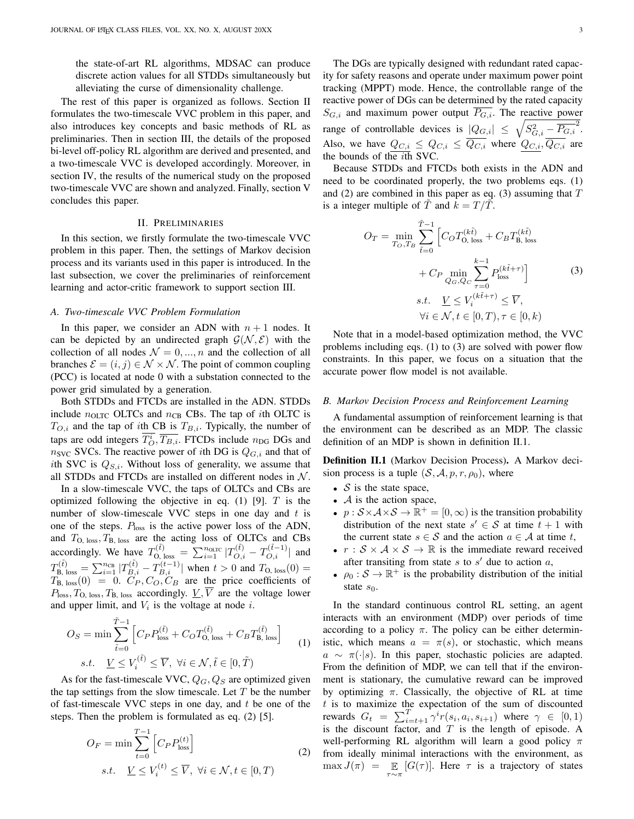the state-of-art RL algorithms, MDSAC can produce discrete action values for all STDDs simultaneously but alleviating the curse of dimensionality challenge.

The rest of this paper is organized as follows. Section [II](#page-2-0) formulates the two-timescale VVC problem in this paper, and also introduces key concepts and basic methods of RL as preliminaries. Then in section [III,](#page-3-0) the details of the proposed bi-level off-policy RL algorithm are derived and presented, and a two-timescale VVC is developed accordingly. Moreover, in section [IV,](#page-6-0) the results of the numerical study on the proposed two-timescale VVC are shown and analyzed. Finally, section [V](#page-8-5) concludes this paper.

## II. PRELIMINARIES

<span id="page-2-0"></span>In this section, we firstly formulate the two-timescale VVC problem in this paper. Then, the settings of Markov decision process and its variants used in this paper is introduced. In the last subsection, we cover the preliminaries of reinforcement learning and actor-critic framework to support section [III.](#page-3-0)

## <span id="page-2-5"></span>*A. Two-timescale VVC Problem Formulation*

In this paper, we consider an ADN with  $n + 1$  nodes. It can be depicted by an undirected graph  $G(\mathcal{N}, \mathcal{E})$  with the collection of all nodes  $\mathcal{N} = 0, ..., n$  and the collection of all branches  $\mathcal{E} = (i, j) \in \mathcal{N} \times \mathcal{N}$ . The point of common coupling (PCC) is located at node 0 with a substation connected to the power grid simulated by a generation.

Both STDDs and FTCDs are installed in the ADN. STDDs include  $n_{OLTC}$  OLTCs and  $n_{CB}$  CBs. The tap of *i*th OLTC is  $T_{O,i}$  and the tap of *i*th CB is  $T_{B,i}$ . Typically, the number of taps are odd integers  $T_O^i$ ,  $\overline{T_{B,i}}$ . FTCDs include  $n_{\text{DG}}$  DGs and  $n_{\text{SVC}}$  SVCs. The reactive power of *i*th DG is  $Q_{G,i}$  and that of ith SVC is  $Q_{S,i}$ . Without loss of generality, we assume that all STDDs and FTCDs are installed on different nodes in  $N$ .

In a slow-timescale VVC, the taps of OLTCs and CBs are optimized following the objective in eq.  $(1)$  [\[9\]](#page-9-8). T is the number of slow-timescale VVC steps in one day and  $t$  is one of the steps.  $P_{\text{loss}}$  is the active power loss of the ADN, and  $T_{\text{O, loss}}$ ,  $T_{\text{B, loss}}$  are the acting loss of OLTCs and CBs accordingly. We have  $T_{\text{O, loss}}^{(\tilde{t})} = \sum_{i=1}^{n_{\text{OLTC}}} |T_{O,i}^{(\tilde{t})} - T_{O,i}^{(\tilde{t}-1)}|$  and  $T_{\text{B, loss}}^{(\tilde{t})} = \sum_{i=1}^{n_{\text{CB}}} |T_{B,i}^{(\tilde{t})} - T_{B,i}^{(t-1)}|$  when  $t > 0$  and  $T_{\text{O, loss}}(0) =$  $T_{\text{B, loss}}(0) = 0$ .  $C_P$ ,  $C_O$ ,  $C_B$  are the price coefficients of  $P_{\text{loss}}, T_{\text{O, loss}}, T_{\text{B, loss}}$  accordingly.  $\underline{V}, \overline{V}$  are the voltage lower and upper limit, and  $V_i$  is the voltage at node i.

<span id="page-2-1"></span>
$$
O_S = \min \sum_{\tilde{t}=0}^{\tilde{T}-1} \left[ C_P P_{\text{loss}}^{(\tilde{t})} + C_O T_{\text{O, loss}}^{(\tilde{t})} + C_B T_{\text{B, loss}}^{(\tilde{t})} \right]
$$
  
s.t.  $\underline{V} \le V_i^{(\tilde{t})} \le \overline{V}$ ,  $\forall i \in \mathcal{N}, \tilde{t} \in [0, \tilde{T})$  (1)

As for the fast-timescale VVC,  $Q_G$ ,  $Q_S$  are optimized given the tap settings from the slow timescale. Let  $T$  be the number of fast-timescale VVC steps in one day, and  $t$  be one of the steps. Then the problem is formulated as eq. [\(2\)](#page-2-2) [\[5\]](#page-8-4).

<span id="page-2-2"></span>
$$
O_F = \min \sum_{t=0}^{T-1} \left[ C_P P_{\text{loss}}^{(t)} \right]
$$
  
s.t. 
$$
\underline{V} \le V_i^{(t)} \le \overline{V}, \ \forall i \in \mathcal{N}, t \in [0, T)
$$
 (2)

The DGs are typically designed with redundant rated capacity for safety reasons and operate under maximum power point tracking (MPPT) mode. Hence, the controllable range of the reactive power of DGs can be determined by the rated capacity  $S_{G,i}$  and maximum power output  $\overline{P_{G,i}}$ . The reactive power range of controllable devices is  $|Q_{G,i}| \leq \sqrt{S_{G,i}^2 - \overline{P_{G,i}}^2}$ . Also, we have  $Q_{C,i} \leq Q_{C,i} \leq Q_{C,i}$  where  $Q_{C,i}, Q_{C,i}$  are the bounds of the  $i$ th SVC.

Because STDDs and FTCDs both exists in the ADN and need to be coordinated properly, the two problems eqs. [\(1\)](#page-2-1) and [\(2\)](#page-2-2) are combined in this paper as eq. [\(3\)](#page-2-3) assuming that  $T$ is a integer multiple of  $\overline{T}$  and  $k = T/\overline{T}$ .

<span id="page-2-3"></span>
$$
O_T = \min_{T_O, T_B} \sum_{\tilde{t}=0}^{\tilde{T}-1} \left[ C_O T_{O, \text{ loss}}^{(k\tilde{t})} + C_B T_{B, \text{ loss}}^{(k\tilde{t})} + C_P \min_{Q_G, Q_C} \sum_{\tau=0}^{k-1} P_{\text{ loss}}^{(k\tilde{t}+\tau)} \right]
$$
  
s.t.  $\underline{V} \le V_i^{(k\tilde{t}+\tau)} \le \overline{V},$   
 $\forall i \in \mathcal{N}, t \in [0, T), \tau \in [0, k)$  (3)

Note that in a model-based optimization method, the VVC problems including eqs. [\(1\)](#page-2-1) to [\(3\)](#page-2-3) are solved with power flow constraints. In this paper, we focus on a situation that the accurate power flow model is not available.

#### <span id="page-2-6"></span>*B. Markov Decision Process and Reinforcement Learning*

A fundamental assumption of reinforcement learning is that the environment can be described as an MDP. The classic definition of an MDP is shown in definition [II.1.](#page-2-4)

<span id="page-2-4"></span>Definition II.1 (Markov Decision Process). A Markov decision process is a tuple  $(S, \mathcal{A}, p, r, \rho_0)$ , where

- $S$  is the state space,
- $A$  is the action space,
- $p : S \times A \times S \rightarrow \mathbb{R}^+ = [0, \infty)$  is the transition probability distribution of the next state  $s' \in S$  at time  $t + 1$  with the current state  $s \in S$  and the action  $a \in A$  at time t,
- $r : S \times A \times S \rightarrow \mathbb{R}$  is the immediate reward received after transiting from state  $s$  to  $s'$  due to action  $a$ ,
- $\rho_0 : S \to \mathbb{R}^+$  is the probability distribution of the initial state  $s_0$ .

(2) from ideally minimal interactions with the environment, as In the standard continuous control RL setting, an agent interacts with an environment (MDP) over periods of time according to a policy  $\pi$ . The policy can be either deterministic, which means  $a = \pi(s)$ , or stochastic, which means  $a \sim \pi(\cdot|s)$ . In this paper, stochastic policies are adapted. From the definition of MDP, we can tell that if the environment is stationary, the cumulative reward can be improved by optimizing  $\pi$ . Classically, the objective of RL at time  $t$  is to maximize the expectation of the sum of discounted rewards  $G_t = \sum_{i=t+1}^T \gamma^i r(s_i, a_i, s_{i+1})$  where  $\gamma \in [0, 1)$ is the discount factor, and  $T$  is the length of episode. A well-performing RL algorithm will learn a good policy  $\pi$ max  $J(\pi) = \mathbb{E}_{\tau \sim \pi} [G(\tau)].$  Here  $\tau$  is a trajectory of states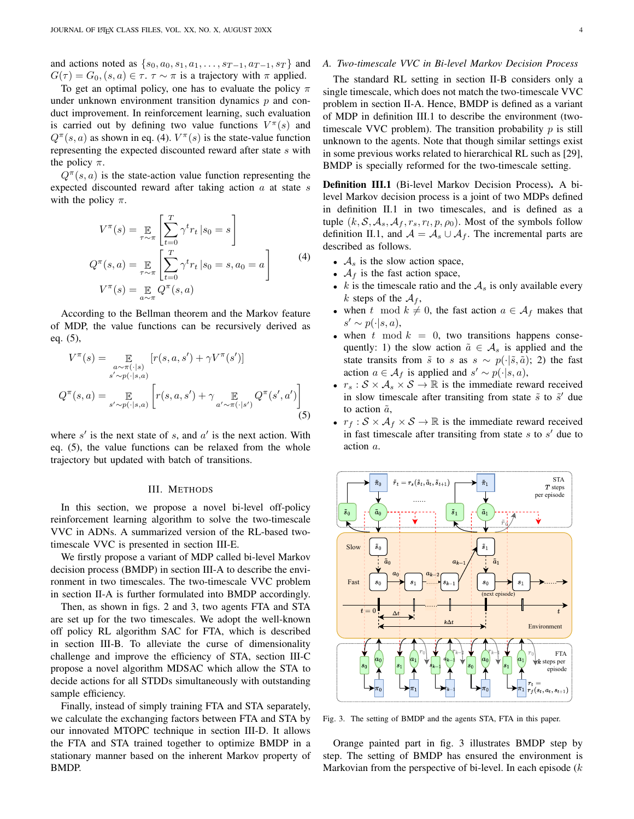and actions noted as  $\{s_0, a_0, s_1, a_1, \ldots, s_{T-1}, a_{T-1}, s_T\}$  and  $G(\tau) = G_0$ ,  $(s, a) \in \tau$ .  $\tau \sim \pi$  is a trajectory with  $\pi$  applied.

To get an optimal policy, one has to evaluate the policy  $\pi$ under unknown environment transition dynamics  $p$  and conduct improvement. In reinforcement learning, such evaluation is carried out by defining two value functions  $V^{\pi}(s)$  and  $Q^{\pi}(s, a)$  as shown in eq. [\(4\)](#page-3-1).  $V^{\pi}(s)$  is the state-value function representing the expected discounted reward after state s with the policy  $\pi$ .

 $Q^{\pi}(s, a)$  is the state-action value function representing the expected discounted reward after taking action  $a$  at state  $s$ with the policy  $\pi$ .

<span id="page-3-1"></span>
$$
V^{\pi}(s) = \mathop{\mathbb{E}}_{\tau \sim \pi} \left[ \sum_{t=0}^{T} \gamma^{t} r_{t} | s_{0} = s \right]
$$
  

$$
Q^{\pi}(s, a) = \mathop{\mathbb{E}}_{\tau \sim \pi} \left[ \sum_{t=0}^{T} \gamma^{t} r_{t} | s_{0} = s, a_{0} = a \right]
$$
  

$$
V^{\pi}(s) = \mathop{\mathbb{E}}_{a \sim \pi} Q^{\pi}(s, a)
$$
 (4)

According to the Bellman theorem and the Markov feature of MDP, the value functions can be recursively derived as eq. [\(5\)](#page-3-2),

<span id="page-3-2"></span>
$$
V^{\pi}(s) = \mathop{\mathbb{E}}_{a \sim \pi(\cdot|s)} [r(s, a, s') + \gamma V^{\pi}(s')]
$$
  

$$
s' \sim p(\cdot|s, a)
$$
  

$$
Q^{\pi}(s, a) = \mathop{\mathbb{E}}_{s' \sim p(\cdot|s, a)} \left[ r(s, a, s') + \gamma \mathop{\mathbb{E}}_{a' \sim \pi(\cdot|s')} Q^{\pi}(s', a') \right]
$$
  
(5)

where  $s'$  is the next state of s, and  $a'$  is the next action. With eq. [\(5\)](#page-3-2), the value functions can be relaxed from the whole trajectory but updated with batch of transitions.

#### III. METHODS

<span id="page-3-0"></span>In this section, we propose a novel bi-level off-policy reinforcement learning algorithm to solve the two-timescale VVC in ADNs. A summarized version of the RL-based twotimescale VVC is presented in section [III-E.](#page-6-1)

We firstly propose a variant of MDP called bi-level Markov decision process (BMDP) in section [III-A](#page-3-3) to describe the environment in two timescales. The two-timescale VVC problem in section [II-A](#page-2-5) is further formulated into BMDP accordingly.

Then, as shown in figs. [2](#page-1-1) and [3,](#page-3-4) two agents FTA and STA are set up for the two timescales. We adopt the well-known off policy RL algorithm SAC for FTA, which is described in section [III-B.](#page-4-0) To alleviate the curse of dimensionality challenge and improve the efficiency of STA, section [III-C](#page-5-0) propose a novel algorithm MDSAC which allow the STA to decide actions for all STDDs simultaneously with outstanding sample efficiency.

Finally, instead of simply training FTA and STA separately, we calculate the exchanging factors between FTA and STA by our innovated MTOPC technique in section [III-D.](#page-6-2) It allows the FTA and STA trained together to optimize BMDP in a stationary manner based on the inherent Markov property of BMDP.

## <span id="page-3-3"></span>*A. Two-timescale VVC in Bi-level Markov Decision Process*

The standard RL setting in section [II-B](#page-2-6) considers only a single timescale, which does not match the two-timescale VVC problem in section [II-A.](#page-2-5) Hence, BMDP is defined as a variant of MDP in definition [III.1](#page-3-5) to describe the environment (twotimescale VVC problem). The transition probability  $p$  is still unknown to the agents. Note that though similar settings exist in some previous works related to hierarchical RL such as [\[29\]](#page-9-18), BMDP is specially reformed for the two-timescale setting.

<span id="page-3-5"></span>Definition III.1 (Bi-level Markov Decision Process). A bilevel Markov decision process is a joint of two MDPs defined in definition [II.1](#page-2-4) in two timescales, and is defined as a tuple  $(k, \mathcal{S}, \mathcal{A}_s, \mathcal{A}_f, r_s, r_l, p, \rho_0)$ . Most of the symbols follow definition [II.1,](#page-2-4) and  $A = A_s \cup A_f$ . The incremental parts are described as follows.

- $A_s$  is the slow action space,
- $A_f$  is the fast action space,
- k is the timescale ratio and the  $A<sub>s</sub>$  is only available every k steps of the  $A_f$ ,
- when t mod  $k \neq 0$ , the fast action  $a \in \mathcal{A}_f$  makes that  $s' \sim p(\cdot|s, a),$
- when  $t \mod k = 0$ , two transitions happens consequently: 1) the slow action  $\tilde{a} \in A_s$  is applied and the state transits from  $\tilde{s}$  to s as  $s \sim p(\cdot|\tilde{s}, \tilde{a})$ ; 2) the fast action  $a \in A_f$  is applied and  $s' \sim p(\cdot|s, a)$ ,
- $r_s : S \times A_s \times S \rightarrow \mathbb{R}$  is the immediate reward received in slow timescale after transiting from state  $\tilde{s}$  to  $\tilde{s}'$  due to action  $\tilde{a}$ ,
- $r_f : S \times A_f \times S \to \mathbb{R}$  is the immediate reward received in fast timescale after transiting from state  $s$  to  $s'$  due to action a.



<span id="page-3-4"></span>Fig. 3. The setting of BMDP and the agents STA, FTA in this paper.

Orange painted part in fig. [3](#page-3-4) illustrates BMDP step by step. The setting of BMDP has ensured the environment is Markovian from the perspective of bi-level. In each episode  $(k)$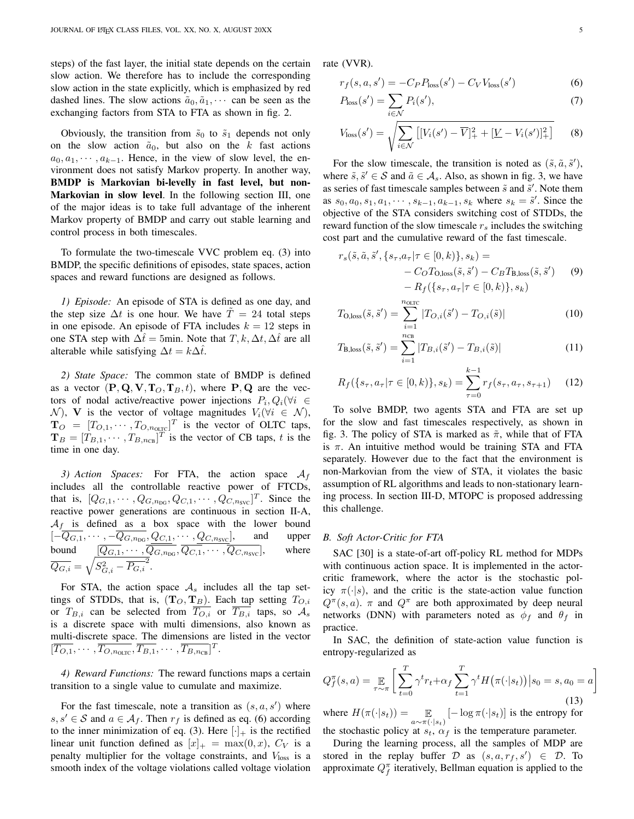steps) of the fast layer, the initial state depends on the certain slow action. We therefore has to include the corresponding slow action in the state explicitly, which is emphasized by red dashed lines. The slow actions  $\tilde{a}_0, \tilde{a}_1, \cdots$  can be seen as the exchanging factors from STA to FTA as shown in fig. [2.](#page-1-1)

Obviously, the transition from  $\tilde{s}_0$  to  $\tilde{s}_1$  depends not only on the slow action  $\tilde{a}_0$ , but also on the k fast actions  $a_0, a_1, \dots, a_{k-1}$ . Hence, in the view of slow level, the environment does not satisfy Markov property. In another way, BMDP is Markovian bi-levelly in fast level, but non-Markovian in slow level. In the following section [III,](#page-3-0) one of the major ideas is to take full advantage of the inherent Markov property of BMDP and carry out stable learning and control process in both timescales.

To formulate the two-timescale VVC problem eq. [\(3\)](#page-2-3) into BMDP, the specific definitions of episodes, state spaces, action spaces and reward functions are designed as follows.

*1) Episode:* An episode of STA is defined as one day, and the step size  $\Delta t$  is one hour. We have  $\ddot{T} = 24$  total steps in one episode. An episode of FTA includes  $k = 12$  steps in one STA step with  $\Delta \hat{t} = 5$ min. Note that  $T, k, \Delta t, \Delta \hat{t}$  are all alterable while satisfying  $\Delta t = k\Delta \hat{t}$ .

*2) State Space:* The common state of BMDP is defined as a vector  $(P, Q, V, T_O, T_B, t)$ , where P, Q are the vectors of nodal active/reactive power injections  $P_i, Q_i(\forall i \in$ N), V is the vector of voltage magnitudes  $V_i(\forall i \in \mathcal{N}),$  $\mathbf{T}_O = [T_{O,1}, \cdots, T_{O,n_{\text{OLTC}}}]^T$  is the vector of OLTC taps,  $\mathbf{T}_B = [T_{B,1}, \cdots, T_{B,n_{CB}}]^T$  is the vector of CB taps, t is the time in one day.

3) Action Spaces: For FTA, the action space  $A_f$ includes all the controllable reactive power of FTCDs, that is,  $[Q_{G,1}, \cdots, Q_{G,n_{\text{DG}}}, Q_{C,1}, \cdots, Q_{C,n_{\text{SVC}}}]^T$ . Since the reactive power generations are continuous in section [II-A,](#page-2-5)  $A_f$  is defined as a box space with the lower bound  $[-\overline{Q_{G,1}}, \cdots, -\overline{Q_{G,n_{\text{DG}}}}, Q_{C,1}, \cdots, Q_{C,n_{\text{SVC}}}],$  and upper bound  $[Q_{G,1}, \cdots, Q_{G,n_{\text{DG}}}, Q_{C,1}, \cdots, Q_{C,n_{\text{SVC}}}],$  where  $\overline{Q_{G,i}} = \sqrt{S_{G,i}^2 - \overline{P_{G,i}}^2}.$ 

For STA, the action space  $A_s$  includes all the tap settings of STDDs, that is,  $(T_O, T_B)$ . Each tap setting  $T_{O,i}$ or  $T_{B,i}$  can be selected from  $\overline{T_{O,i}}$  or  $\overline{T_{B,i}}$  taps, so  $\mathcal{A}_s$ is a discrete space with multi dimensions, also known as multi-discrete space. The dimensions are listed in the vector  $[\overline{T_{O,1}}, \cdots, \overline{T_{O,n_{\text{OLTC}}}}, \overline{T_{B,1}}, \cdots, \overline{T_{B,n_{\text{CB}}}}]^T.$ 

*4) Reward Functions:* The reward functions maps a certain transition to a single value to cumulate and maximize.

For the fast timescale, note a transition as  $(s, a, s')$  where  $s, s' \in S$  and  $a \in A_f$ . Then  $r_f$  is defined as eq. [\(6\)](#page-4-1) according to the inner minimization of eq. [\(3\)](#page-2-3). Here  $[\cdot]_+$  is the rectified linear unit function defined as  $[x]_+ = \max(0, x)$ ,  $C_V$  is a penalty multiplier for the voltage constraints, and  $V_{loss}$  is a smooth index of the voltage violations called voltage violation rate (VVR).

<span id="page-4-1"></span>
$$
r_f(s, a, s') = -C_P P_{\text{loss}}(s') - C_V V_{\text{loss}}(s')
$$
 (6)

$$
P_{\text{loss}}(s') = \sum_{i \in \mathcal{N}} P_i(s'),\tag{7}
$$

$$
V_{\text{loss}}(s') = \sqrt{\sum_{i \in \mathcal{N}} \left[ [V_i(s') - \overline{V}]_+^2 + [V - V_i(s')]_+^2 \right]} \tag{8}
$$

For the slow timescale, the transition is noted as  $(\tilde{s}, \tilde{a}, \tilde{s}')$ , where  $\tilde{s}, \tilde{s}' \in \mathcal{S}$  and  $\tilde{a} \in \mathcal{A}_s$ . Also, as shown in fig. [3,](#page-3-4) we have as series of fast timescale samples between  $\tilde{s}$  and  $\tilde{s}'$ . Note them as  $s_0, a_0, s_1, a_1, \cdots, s_{k-1}, a_{k-1}, s_k$  where  $s_k = \tilde{s}'$ . Since the objective of the STA considers switching cost of STDDs, the reward function of the slow timescale  $r<sub>s</sub>$  includes the switching cost part and the cumulative reward of the fast timescale.

$$
r_s(\tilde{s}, \tilde{a}, \tilde{s}', \{s_{\tau}, a_{\tau} | \tau \in [0, k)\}, s_k) =
$$
  
-  $C_O T_{0, \text{loss}}(\tilde{s}, \tilde{s}') - C_B T_{B, \text{loss}}(\tilde{s}, \tilde{s}')$  (9)  
-  $R_f(\{s_{\tau}, a_{\tau} | \tau \in [0, k)\}, s_k)$ 

$$
T_{\text{O,loss}}(\tilde{s}, \tilde{s}') = \sum_{i=1}^{n_{\text{OLTC}}} |T_{O,i}(\tilde{s}') - T_{O,i}(\tilde{s})| \tag{10}
$$

$$
T_{\text{B,loss}}(\tilde{s}, \tilde{s}') = \sum_{i=1}^{n_{\text{CB}}} |T_{B,i}(\tilde{s}') - T_{B,i}(\tilde{s})| \tag{11}
$$

$$
R_f(\{s_\tau, a_\tau | \tau \in [0, k)\}, s_k) = \sum_{\tau=0}^{k-1} r_f(s_\tau, a_\tau, s_{\tau+1}) \tag{12}
$$

To solve BMDP, two agents STA and FTA are set up for the slow and fast timescales respectively, as shown in fig. [3.](#page-3-4) The policy of STA is marked as  $\tilde{\pi}$ , while that of FTA is  $\pi$ . An intuitive method would be training STA and FTA separately. However due to the fact that the environment is non-Markovian from the view of STA, it violates the basic assumption of RL algorithms and leads to non-stationary learning process. In section [III-D,](#page-6-2) MTOPC is proposed addressing this challenge.

#### <span id="page-4-0"></span>*B. Soft Actor-Critic for FTA*

SAC [\[30\]](#page-9-19) is a state-of-art off-policy RL method for MDPs with continuous action space. It is implemented in the actorcritic framework, where the actor is the stochastic policy  $\pi(\cdot|s)$ , and the critic is the state-action value function  $Q^{\pi}(s, a)$ .  $\pi$  and  $Q^{\pi}$  are both approximated by deep neural networks (DNN) with parameters noted as  $\phi_f$  and  $\theta_f$  in practice.

In SAC, the definition of state-action value function is entropy-regularized as

$$
Q_f^{\pi}(s, a) = \mathop{\mathbb{E}}_{\tau \sim \pi} \left[ \sum_{t=0}^{T} \gamma^t r_t + \alpha_f \sum_{t=1}^{T} \gamma^t H(\pi(\cdot | s_t)) | s_0 = s, a_0 = a \right]
$$
(13)

where  $H(\pi(\cdot|s_t)) = \mathop{\mathbb{E}}_{a \sim \pi(\cdot|s_t)} [-\log \pi(\cdot|s_t)]$  is the entropy for the stochastic policy at  $s_t$ ,  $\alpha_f$  is the temperature parameter.

During the learning process, all the samples of MDP are stored in the replay buffer  $D$  as  $(s, a, r_f, s') \in D$ . To approximate  $Q_f^{\pi}$  iteratively, Bellman equation is applied to the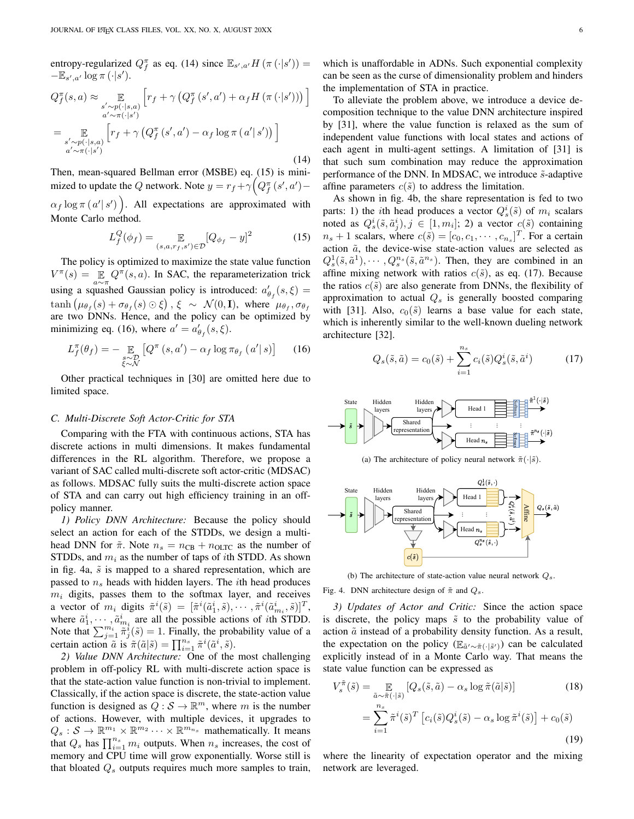entropy-regularized  $Q_f^{\pi}$  as eq. [\(14\)](#page-5-1) since  $\mathbb{E}_{s',a'}H(\pi(\cdot|s'))$  =  $-\mathbb{E}_{s',a'}\log\pi(\cdot|s').$ 

<span id="page-5-1"></span>
$$
Q_f^{\pi}(s, a) \approx \mathop{\mathbb{E}}_{\substack{s' \sim p(\cdot | s, a) \\ a' \sim \pi(\cdot | s')}} \left[ r_f + \gamma \left( Q_f^{\pi}(s', a') + \alpha_f H(\pi(\cdot | s')) \right) \right]
$$

$$
= \mathop{\mathbb{E}}_{\substack{s' \sim p(\cdot | s, a) \\ a' \sim \pi(\cdot | s')}} \left[ r_f + \gamma \left( Q_f^{\pi}(s', a') - \alpha_f \log \pi(a' | s') \right) \right]
$$
(14)

Then, mean-squared Bellman error (MSBE) eq. [\(15\)](#page-5-2) is minimized to update the Q network. Note  $y = r_f + \gamma \left( Q_f^{\pi} (s', a') -$ 

 $\alpha_f \log \pi (a' | s')$ . All expectations are approximated with Monte Carlo method.

<span id="page-5-2"></span>
$$
L_f^Q(\phi_f) = \mathop{\mathbb{E}}_{(s,a,r_f,s') \in \mathcal{D}} [Q_{\phi_f} - y]^2
$$
 (15)

The policy is optimized to maximize the state value function  $V^{\pi}(s) = \mathbb{E} Q^{\pi}(s, a)$ . In SAC, the reparameterization trick using a squashed Gaussian policy is introduced:  $a'_{\theta_f}(s,\xi) =$  $\tanh (\mu_{\theta_f}(s) + \sigma_{\theta_f}(s) \odot \xi), \xi \sim \mathcal{N}(0, \mathbf{I}), \text{ where } \mu_{\theta_f}, \sigma_{\theta_f}$ are two DNNs. Hence, and the policy can be optimized by minimizing eq. [\(16\)](#page-5-3), where  $a' = a'_{\theta_f}(s, \xi)$ .

<span id="page-5-3"></span>
$$
L_f^{\pi}(\theta_f) = - \mathop{\mathbb{E}}_{\substack{s \sim \mathcal{D} \\ \xi \sim \mathcal{N}}} \left[ Q^{\pi} \left( s, a' \right) - \alpha_f \log \pi_{\theta_f} \left( a' \middle| s \right) \right] \tag{16}
$$

Other practical techniques in [\[30\]](#page-9-19) are omitted here due to limited space.

#### <span id="page-5-0"></span>*C. Multi-Discrete Soft Actor-Critic for STA*

Comparing with the FTA with continuous actions, STA has discrete actions in multi dimensions. It makes fundamental differences in the RL algorithm. Therefore, we propose a variant of SAC called multi-discrete soft actor-critic (MDSAC) as follows. MDSAC fully suits the multi-discrete action space of STA and can carry out high efficiency training in an offpolicy manner.

*1) Policy DNN Architecture:* Because the policy should select an action for each of the STDDs, we design a multihead DNN for  $\tilde{\pi}$ . Note  $n_s = n_{CB} + n_{OLTC}$  as the number of STDDs, and  $m_i$  as the number of taps of *i*th STDD. As shown in fig. [4a,](#page-5-4)  $\tilde{s}$  is mapped to a shared representation, which are passed to  $n<sub>s</sub>$  heads with hidden layers. The *i*th head produces  $m_i$  digits, passes them to the softmax layer, and receives a vector of  $m_i$  digits  $\tilde{\pi}^i(\tilde{s}) = [\tilde{\pi}^i(\tilde{a}_1^i, \tilde{s}), \cdots, \tilde{\pi}^i(\tilde{a}_{m_i}^i, \tilde{s})]^T$ , where  $\tilde{a}_1^i, \dots, \tilde{a}_{m_i}^i$  are all the possible actions of *i*th STDD. Where  $a_1, \dots, a_{m_i}$  are an the possible actions of an STDD.<br>Note that  $\sum_{j=1}^{m_i} \tilde{\pi}_j^i(\tilde{s}) = 1$ . Finally, the probability value of a certain action  $\tilde{a}$  is  $\tilde{\pi}(\tilde{a}|\tilde{s}) = \prod_{i=1}^{n_s} \tilde{\pi}^i(\tilde{a}^i, \tilde{s}).$ 

*2) Value DNN Architecture:* One of the most challenging problem in off-policy RL with multi-discrete action space is that the state-action value function is non-trivial to implement. Classically, if the action space is discrete, the state-action value function is designed as  $Q : \mathcal{S} \to \mathbb{R}^m$ , where m is the number of actions. However, with multiple devices, it upgrades to  $Q_s : \mathcal{S} \to \mathbb{R}^{m_1} \times \mathbb{R}^{m_2} \cdots \times \mathbb{R}^{m_n}$  mathematically. It means that  $Q_s$  has  $\prod_{i=1}^{n_s} m_i$  outputs. When  $n_s$  increases, the cost of memory and CPU time will grow exponentially. Worse still is that bloated  $Q_s$  outputs requires much more samples to train, which is unaffordable in ADNs. Such exponential complexity can be seen as the curse of dimensionality problem and hinders the implementation of STA in practice.

To alleviate the problem above, we introduce a device decomposition technique to the value DNN architecture inspired by [\[31\]](#page-9-20), where the value function is relaxed as the sum of independent value functions with local states and actions of each agent in multi-agent settings. A limitation of [\[31\]](#page-9-20) is that such sum combination may reduce the approximation performance of the DNN. In MDSAC, we introduce  $\tilde{s}$ -adaptive affine parameters  $c(\tilde{s})$  to address the limitation.

As shown in fig. [4b,](#page-5-5) the share representation is fed to two parts: 1) the *i*th head produces a vector  $Q_s^i(\tilde{s})$  of  $m_i$  scalars noted as  $Q_s^i(\tilde{s}, \tilde{a}_j^i), j \in [1, m_i]; 2$  a vector  $c(\tilde{s})$  containing  $n_s + 1$  scalars, where  $c(\tilde{s}) = [c_0, c_1, \dots, c_{n_s}]^T$ . For a certain action  $\tilde{a}$ , the device-wise state-action values are selected as  $Q_s^1(\tilde{s}, \tilde{a}^1), \cdots, Q_s^{n_s}(\tilde{s}, \tilde{a}^{n_s}).$  Then, they are combined in an affine mixing network with ratios  $c(\tilde{s})$ , as eq. [\(17\)](#page-5-6). Because the ratios  $c(\tilde{s})$  are also generate from DNNs, the flexibility of approximation to actual  $Q<sub>s</sub>$  is generally boosted comparing with [\[31\]](#page-9-20). Also,  $c_0(\tilde{s})$  learns a base value for each state, which is inherently similar to the well-known dueling network architecture [\[32\]](#page-9-21).

<span id="page-5-6"></span>
$$
Q_s(\tilde{s}, \tilde{a}) = c_0(\tilde{s}) + \sum_{i=1}^{n_s} c_i(\tilde{s}) Q_s^i(\tilde{s}, \tilde{a}^i)
$$
 (17)

<span id="page-5-4"></span>

(a) The architecture of policy neural network  $\tilde{\pi}(\cdot|\tilde{s})$ .

<span id="page-5-5"></span>

(b) The architecture of state-action value neural network  $Q_s$ .

Fig. 4. DNN architecture design of  $\tilde{\pi}$  and  $Q_s$ .

*3) Updates of Actor and Critic:* Since the action space is discrete, the policy maps  $\tilde{s}$  to the probability value of action  $\tilde{a}$  instead of a probability density function. As a result, the expectation on the policy ( $\mathbb{E}_{\tilde{a}' \sim \tilde{\pi}(\cdot | \tilde{s}') }$ ) can be calculated explicitly instead of in a Monte Carlo way. That means the state value function can be expressed as

$$
V_s^{\tilde{\pi}}(\tilde{s}) = \mathop{\mathbb{E}}_{\tilde{a}\sim\tilde{\pi}(\cdot|\tilde{s})} \left[ Q_s(\tilde{s}, \tilde{a}) - \alpha_s \log \tilde{\pi}(\tilde{a}|\tilde{s}) \right]
$$
(18)  

$$
= \sum_{i=1}^{n_s} \tilde{\pi}^i(\tilde{s})^T \left[ c_i(\tilde{s}) Q_s^i(\tilde{s}) - \alpha_s \log \tilde{\pi}^i(\tilde{s}) \right] + c_0(\tilde{s})
$$
(19)

where the linearity of expectation operator and the mixing network are leveraged.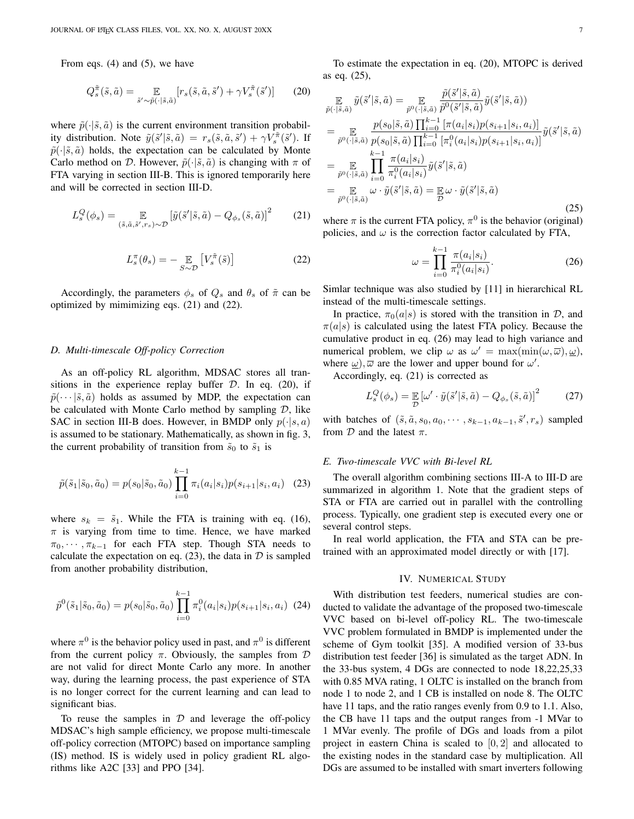From eqs. [\(4\)](#page-3-1) and [\(5\)](#page-3-2), we have

<span id="page-6-5"></span>
$$
Q_s^{\tilde{\pi}}(\tilde{s}, \tilde{a}) = \mathop{\mathbb{E}}_{\tilde{s}' \sim \tilde{p}(\cdot | \tilde{s}, \tilde{a})} [r_s(\tilde{s}, \tilde{a}, \tilde{s}') + \gamma V_s^{\tilde{\pi}}(\tilde{s}')] \tag{20}
$$

where  $\tilde{p}(\cdot|\tilde{s}, \tilde{a})$  is the current environment transition probability distribution. Note  $\tilde{y}(\tilde{s}'|\tilde{s}, \tilde{a}) = r_s(\tilde{s}, \tilde{a}, \tilde{s}') + \gamma V_s^{\tilde{\pi}}(\tilde{s}')$ . If  $\tilde{p}(\cdot|\tilde{s}, \tilde{a})$  holds, the expectation can be calculated by Monte Carlo method on D. However,  $\tilde{p}(\cdot|\tilde{s}, \tilde{a})$  is changing with  $\pi$  of FTA varying in section [III-B.](#page-4-0) This is ignored temporarily here and will be corrected in section [III-D.](#page-6-2)

<span id="page-6-3"></span>
$$
L_s^Q(\phi_s) = \mathop{\mathbb{E}}_{(\tilde{s}, \tilde{a}, \tilde{s}', r_s) \sim \mathcal{D}} \left[ \tilde{y}(\tilde{s}' | \tilde{s}, \tilde{a}) - Q_{\phi_s}(\tilde{s}, \tilde{a}) \right]^2 \tag{21}
$$

<span id="page-6-4"></span>
$$
L_s^{\pi}(\theta_s) = -\underset{S \sim \mathcal{D}}{\mathbb{E}} \left[ V_s^{\tilde{\pi}}(\tilde{s}) \right] \tag{22}
$$

Accordingly, the parameters  $\phi_s$  of  $Q_s$  and  $\theta_s$  of  $\tilde{\pi}$  can be optimized by mimimizing eqs. [\(21\)](#page-6-3) and [\(22\)](#page-6-4).

#### <span id="page-6-2"></span>*D. Multi-timescale Off-policy Correction*

As an off-policy RL algorithm, MDSAC stores all transitions in the experience replay buffer  $D$ . In eq. [\(20\)](#page-6-5), if  $\tilde{p}(\cdots|\tilde{s},\tilde{a})$  holds as assumed by MDP, the expectation can be calculated with Monte Carlo method by sampling  $D$ , like SAC in section [III-B](#page-4-0) does. However, in BMDP only  $p(\cdot|s, a)$ is assumed to be stationary. Mathematically, as shown in fig. [3,](#page-3-4) the current probability of transition from  $\tilde{s}_0$  to  $\tilde{s}_1$  is

<span id="page-6-6"></span>
$$
\tilde{p}(\tilde{s}_1|\tilde{s}_0, \tilde{a}_0) = p(s_0|\tilde{s}_0, \tilde{a}_0) \prod_{i=0}^{k-1} \pi_i(a_i|s_i) p(s_{i+1}|s_i, a_i) \quad (23)
$$

where  $s_k = \tilde{s}_1$ . While the FTA is training with eq. [\(16\)](#page-5-3),  $\pi$  is varying from time to time. Hence, we have marked  $\pi_0, \dots, \pi_{k-1}$  for each FTA step. Though STA needs to calculate the expectation on eq. [\(23\)](#page-6-6), the data in  $D$  is sampled from another probability distribution,

$$
\tilde{p}^{0}(\tilde{s}_{1}|\tilde{s}_{0},\tilde{a}_{0}) = p(s_{0}|\tilde{s}_{0},\tilde{a}_{0}) \prod_{i=0}^{k-1} \pi_{i}^{0}(a_{i}|s_{i}) p(s_{i+1}|s_{i},a_{i}) \tag{24}
$$

where  $\pi^0$  is the behavior policy used in past, and  $\pi^0$  is different from the current policy  $\pi$ . Obviously, the samples from  $\mathcal D$ are not valid for direct Monte Carlo any more. In another way, during the learning process, the past experience of STA is no longer correct for the current learning and can lead to significant bias.

To reuse the samples in  $D$  and leverage the off-policy MDSAC's high sample efficiency, we propose multi-timescale off-policy correction (MTOPC) based on importance sampling (IS) method. IS is widely used in policy gradient RL algorithms like A2C [\[33\]](#page-9-22) and PPO [\[34\]](#page-9-23).

To estimate the expectation in eq. [\(20\)](#page-6-5), MTOPC is derived as eq. [\(25\)](#page-6-7),

<span id="page-6-7"></span>
$$
\begin{split}\n\mathbb{E}_{\tilde{p}(\cdot|\tilde{s},\tilde{a})} \tilde{y}(\tilde{s}'|\tilde{s},\tilde{a}) &= \mathbb{E}_{\tilde{p}^0(\cdot|\tilde{s},\tilde{a})} \frac{\tilde{p}(\tilde{s}'|\tilde{s},\tilde{a})}{\tilde{p}^0(\tilde{s}'|\tilde{s},\tilde{a})} \tilde{y}(\tilde{s}'|\tilde{s},\tilde{a}) \\
&= \mathbb{E}_{\tilde{p}^0(\cdot|\tilde{s},\tilde{a})} \frac{p(s_0|\tilde{s},\tilde{a}) \prod_{k=1}^{k-1} \left[ \pi(a_i|s_i)p(s_{i+1}|s_i,a_i) \right]}{p(s_0|\tilde{s},\tilde{a}) \prod_{i=0}^{k-1} \left[ \pi_i^0(a_i|s_i)p(s_{i+1}|s_i,a_i) \right]} \tilde{y}(\tilde{s}'|\tilde{s},\tilde{a}) \\
&= \mathbb{E}_{\tilde{p}^0(\cdot|\tilde{s},\tilde{a})} \prod_{i=0}^{k-1} \frac{\pi(a_i|s_i)}{\pi_i^0(a_i|s_i)} \tilde{y}(\tilde{s}'|\tilde{s},\tilde{a}) \\
&= \mathbb{E}_{\tilde{p}^0(\cdot|\tilde{s},\tilde{a})} \omega \cdot \tilde{y}(\tilde{s}'|\tilde{s},\tilde{a}) = \mathbb{E}_{\tilde{D}} \omega \cdot \tilde{y}(\tilde{s}'|\tilde{s},\tilde{a})\n\end{split} \tag{25}
$$

where  $\pi$  is the current FTA policy,  $\pi^0$  is the behavior (original) policies, and  $\omega$  is the correction factor calculated by FTA,

<span id="page-6-8"></span>
$$
\omega = \prod_{i=0}^{k-1} \frac{\pi(a_i|s_i)}{\pi_i^0(a_i|s_i)}.
$$
 (26)

Simlar technique was also studied by [\[11\]](#page-9-3) in hierarchical RL instead of the multi-timescale settings.

In practice,  $\pi_0(a|s)$  is stored with the transition in D, and  $\pi(a|s)$  is calculated using the latest FTA policy. Because the cumulative product in eq. [\(26\)](#page-6-8) may lead to high variance and numerical problem, we clip  $\omega$  as  $\omega' = \max(\min(\omega, \overline{\omega}), \underline{\omega})$ , where  $\omega$ ),  $\overline{\omega}$  are the lower and upper bound for  $\omega'$ .

Accordingly, eq. [\(21\)](#page-6-3) is corrected as

<span id="page-6-9"></span>
$$
L_s^Q(\phi_s) = \mathop{\mathbb{E}}_{\mathcal{D}} \left[ \omega' \cdot \tilde{y}(\tilde{s}' | \tilde{s}, \tilde{a}) - Q_{\phi_s}(\tilde{s}, \tilde{a}) \right]^2 \tag{27}
$$

with batches of  $(\tilde{s}, \tilde{a}, s_0, a_0, \cdots, s_{k-1}, a_{k-1}, \tilde{s}', r_s)$  sampled from  $D$  and the latest  $\pi$ .

## <span id="page-6-1"></span>*E. Two-timescale VVC with Bi-level RL*

The overall algorithm combining sections [III-A](#page-3-3) to [III-D](#page-6-2) are summarized in algorithm [1.](#page-7-0) Note that the gradient steps of STA or FTA are carried out in parallel with the controlling process. Typically, one gradient step is executed every one or several control steps.

In real world application, the FTA and STA can be pretrained with an approximated model directly or with [\[17\]](#page-9-9).

#### IV. NUMERICAL STUDY

<span id="page-6-0"></span>With distribution test feeders, numerical studies are conducted to validate the advantage of the proposed two-timescale VVC based on bi-level off-policy RL. The two-timescale VVC problem formulated in BMDP is implemented under the scheme of Gym toolkit [\[35\]](#page-9-24). A modified version of 33-bus distribution test feeder [\[36\]](#page-9-25) is simulated as the target ADN. In the 33-bus system, 4 DGs are connected to node 18,22,25,33 with 0.85 MVA rating, 1 OLTC is installed on the branch from node 1 to node 2, and 1 CB is installed on node 8. The OLTC have 11 taps, and the ratio ranges evenly from 0.9 to 1.1. Also, the CB have 11 taps and the output ranges from -1 MVar to 1 MVar evenly. The profile of DGs and loads from a pilot project in eastern China is scaled to  $[0, 2]$  and allocated to the existing nodes in the standard case by multiplication. All DGs are assumed to be installed with smart inverters following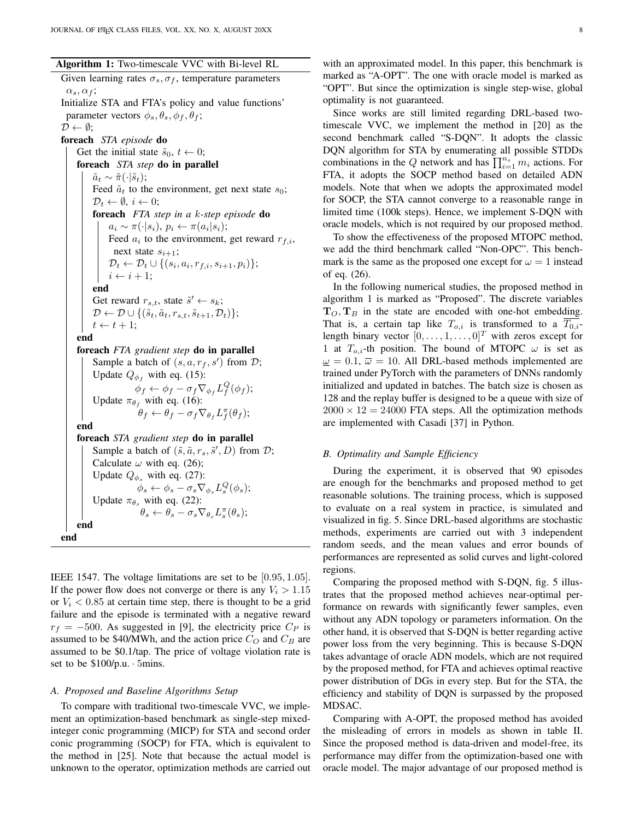<span id="page-7-0"></span>Given learning rates  $\sigma_s$ ,  $\sigma_f$ , temperature parameters  $\alpha_s, \alpha_f;$ Initialize STA and FTA's policy and value functions' parameter vectors  $\phi_s$ ,  $\theta_s$ ,  $\phi_f$ ,  $\theta_f$ ;  $\mathcal{D} \leftarrow \emptyset$ ; foreach *STA episode* do Get the initial state  $\tilde{s}_0, t \leftarrow 0;$ foreach *STA step* do in parallel  $\tilde{a}_t \sim \tilde{\pi}(\cdot|\tilde{s}_t);$ Feed  $\tilde{a}_t$  to the environment, get next state  $s_0$ ;  $\mathcal{D}_t \leftarrow \emptyset, i \leftarrow 0;$ foreach *FTA step in a* k*-step episode* do  $a_i \sim \pi(\cdot|s_i), p_i \leftarrow \pi(a_i|s_i);$ Feed  $a_i$  to the environment, get reward  $r_{f,i}$ , next state  $s_{i+1}$ ;  $\mathcal{D}_t \leftarrow \mathcal{D}_t \cup \{(s_i, a_i, r_{f,i}, s_{i+1}, p_i)\};$  $i \leftarrow i + 1$ ; end Get reward  $r_{s,t}$ , state  $\tilde{s}' \leftarrow s_k$ ;  $\mathcal{D} \leftarrow \mathcal{D} \cup \{(\tilde{s}_t, \tilde{a}_t, r_{s,t}, \tilde{s}_{t+1}, \mathcal{D}_t)\};$  $t \leftarrow t + 1;$ end foreach *FTA gradient step* do in parallel Sample a batch of  $(s, a, r_f, s')$  from  $\mathcal{D}$ ; Update  $Q_{\phi_f}$  with eq. [\(15\)](#page-5-2):  $\phi_f \leftarrow \phi_f - \sigma_f \nabla_{\phi_f} L_f^Q(\phi_f);$ Update  $\pi_{\theta_f}$  with eq. [\(16\)](#page-5-3):  $\theta_f \leftarrow \theta_f - \sigma_f \nabla_{\theta_f} L_f^{\pi}(\theta_f);$ end foreach *STA gradient step* do in parallel Sample a batch of  $(\tilde{s}, \tilde{a}, r_s, \tilde{s}', D)$  from  $D$ ; Calculate  $\omega$  with eq. [\(26\)](#page-6-8); Update  $Q_{\phi_s}$  with eq. [\(27\)](#page-6-9):  $\phi_s \leftarrow \phi_s - \sigma_s \nabla_{\phi_s} L_s^Q(\phi_s);$ Update  $\pi_{\theta_s}$  with eq. [\(22\)](#page-6-4):  $\theta_s \leftarrow \theta_s - \sigma_s \nabla_{\theta_s} L_s^{\pi}(\theta_s);$ end end

IEEE 1547. The voltage limitations are set to be [0.95, 1.05]. If the power flow does not converge or there is any  $V_i > 1.15$ or  $V_i$  < 0.85 at certain time step, there is thought to be a grid failure and the episode is terminated with a negative reward  $r_f = -500$ . As suggested in [\[9\]](#page-9-8), the electricity price  $C_P$  is assumed to be \$40/MWh, and the action price  $C_O$  and  $C_B$  are assumed to be \$0.1/tap. The price of voltage violation rate is set to be \$100/p.u. · 5mins.

#### *A. Proposed and Baseline Algorithms Setup*

To compare with traditional two-timescale VVC, we implement an optimization-based benchmark as single-step mixedinteger conic programming (MICP) for STA and second order conic programming (SOCP) for FTA, which is equivalent to the method in [\[25\]](#page-9-26). Note that because the actual model is unknown to the operator, optimization methods are carried out

with an approximated model. In this paper, this benchmark is marked as "A-OPT". The one with oracle model is marked as "OPT". But since the optimization is single step-wise, global optimality is not guaranteed.

Since works are still limited regarding DRL-based twotimescale VVC, we implement the method in [\[20\]](#page-9-10) as the second benchmark called "S-DQN". It adopts the classic DQN algorithm for STA by enumerating all possible STDDs combinations in the Q network and has  $\prod_{i=1}^{n_s} m_i$  actions. For FTA, it adopts the SOCP method based on detailed ADN models. Note that when we adopts the approximated model for SOCP, the STA cannot converge to a reasonable range in limited time (100k steps). Hence, we implement S-DQN with oracle models, which is not required by our proposed method.

To show the effectiveness of the proposed MTOPC method, we add the third benchmark called "Non-OPC". This benchmark is the same as the proposed one except for  $\omega = 1$  instead of eq. [\(26\)](#page-6-8).

In the following numerical studies, the proposed method in algorithm [1](#page-7-0) is marked as "Proposed". The discrete variables  $T_O, T_B$  in the state are encoded with one-hot embedding. That is, a certain tap like  $T_{o,i}$  is transformed to a  $\overline{T_{0,i}}$ length binary vector  $[0, \ldots, 1, \ldots, 0]^T$  with zeros except for 1 at  $T_{o,i}$ -th position. The bound of MTOPC  $\omega$  is set as  $\omega = 0.1$ ,  $\overline{\omega} = 10$ . All DRL-based methods implemented are trained under PyTorch with the parameters of DNNs randomly initialized and updated in batches. The batch size is chosen as 128 and the replay buffer is designed to be a queue with size of  $2000 \times 12 = 24000$  FTA steps. All the optimization methods are implemented with Casadi [\[37\]](#page-9-27) in Python.

#### *B. Optimality and Sample Efficiency*

During the experiment, it is observed that 90 episodes are enough for the benchmarks and proposed method to get reasonable solutions. The training process, which is supposed to evaluate on a real system in practice, is simulated and visualized in fig. [5.](#page-8-6) Since DRL-based algorithms are stochastic methods, experiments are carried out with 3 independent random seeds, and the mean values and error bounds of performances are represented as solid curves and light-colored regions.

Comparing the proposed method with S-DQN, fig. [5](#page-8-6) illustrates that the proposed method achieves near-optimal performance on rewards with significantly fewer samples, even without any ADN topology or parameters information. On the other hand, it is observed that S-DQN is better regarding active power loss from the very beginning. This is because S-DQN takes advantage of oracle ADN models, which are not required by the proposed method, for FTA and achieves optimal reactive power distribution of DGs in every step. But for the STA, the efficiency and stability of DQN is surpassed by the proposed MDSAC.

Comparing with A-OPT, the proposed method has avoided the misleading of errors in models as shown in table [II.](#page-8-7) Since the proposed method is data-driven and model-free, its performance may differ from the optimization-based one with oracle model. The major advantage of our proposed method is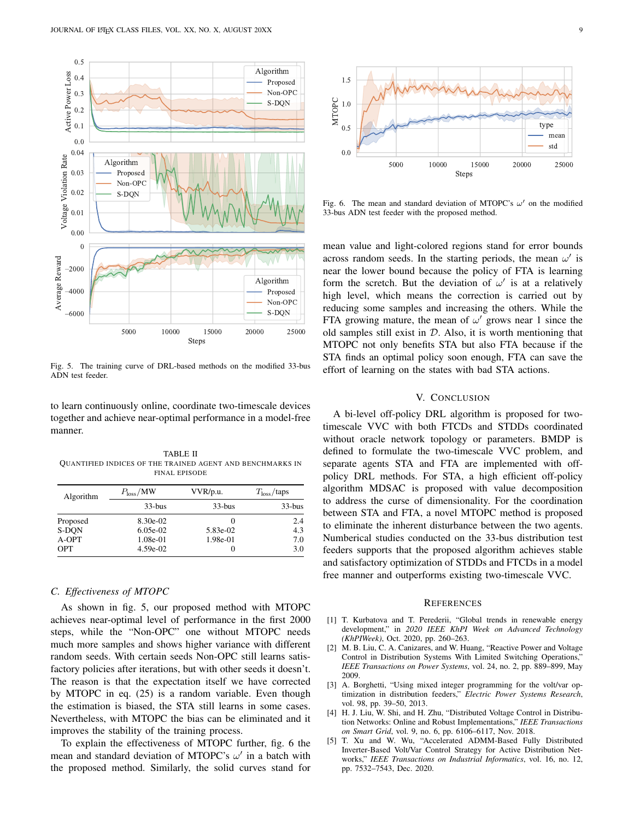

<span id="page-8-6"></span>Fig. 5. The training curve of DRL-based methods on the modified 33-bus ADN test feeder.

to learn continuously online, coordinate two-timescale devices together and achieve near-optimal performance in a model-free manner.

<span id="page-8-7"></span>TABLE II QUANTIFIED INDICES OF THE TRAINED AGENT AND BENCHMARKS IN FINAL EPISODE

| Algorithm  | $P_{\rm loss}/MW$ | VVR/p.u.     | T <sub>loss</sub> /taps |
|------------|-------------------|--------------|-------------------------|
|            | $33-hus$          | $33-bus$     | $33-bus$                |
| Proposed   | 8.30e-02          | $\mathbf{0}$ | 2.4                     |
| S-DON      | $6.05e-02$        | 5.83e-02     | 4.3                     |
| A-OPT      | 1.08e-01          | 1.98e-01     | 7.0                     |
| <b>OPT</b> | 4.59e-02          | $\theta$     | 3.0                     |

## *C. Effectiveness of MTOPC*

As shown in fig. [5,](#page-8-6) our proposed method with MTOPC achieves near-optimal level of performance in the first 2000 steps, while the "Non-OPC" one without MTOPC needs much more samples and shows higher variance with different random seeds. With certain seeds Non-OPC still learns satisfactory policies after iterations, but with other seeds it doesn't. The reason is that the expectation itself we have corrected by MTOPC in eq. [\(25\)](#page-6-7) is a random variable. Even though the estimation is biased, the STA still learns in some cases. Nevertheless, with MTOPC the bias can be eliminated and it improves the stability of the training process.

To explain the effectiveness of MTOPC further, fig. [6](#page-8-8) the mean and standard deviation of MTOPC's  $\omega'$  in a batch with the proposed method. Similarly, the solid curves stand for



<span id="page-8-8"></span>Fig. 6. The mean and standard deviation of MTOPC's  $\omega'$  on the modified 33-bus ADN test feeder with the proposed method.

mean value and light-colored regions stand for error bounds across random seeds. In the starting periods, the mean  $\omega'$  is near the lower bound because the policy of FTA is learning form the scretch. But the deviation of  $\omega'$  is at a relatively high level, which means the correction is carried out by reducing some samples and increasing the others. While the FTA growing mature, the mean of  $\omega'$  grows near 1 since the old samples still exist in  $D$ . Also, it is worth mentioning that MTOPC not only benefits STA but also FTA because if the STA finds an optimal policy soon enough, FTA can save the effort of learning on the states with bad STA actions.

## V. CONCLUSION

<span id="page-8-5"></span>A bi-level off-policy DRL algorithm is proposed for twotimescale VVC with both FTCDs and STDDs coordinated without oracle network topology or parameters. BMDP is defined to formulate the two-timescale VVC problem, and separate agents STA and FTA are implemented with offpolicy DRL methods. For STA, a high efficient off-policy algorithm MDSAC is proposed with value decomposition to address the curse of dimensionality. For the coordination between STA and FTA, a novel MTOPC method is proposed to eliminate the inherent disturbance between the two agents. Numberical studies conducted on the 33-bus distribution test feeders supports that the proposed algorithm achieves stable and satisfactory optimization of STDDs and FTCDs in a model free manner and outperforms existing two-timescale VVC.

#### **REFERENCES**

- <span id="page-8-0"></span>[1] T. Kurbatova and T. Perederii, "Global trends in renewable energy development," in *2020 IEEE KhPI Week on Advanced Technology (KhPIWeek)*, Oct. 2020, pp. 260–263.
- <span id="page-8-1"></span>[2] M. B. Liu, C. A. Canizares, and W. Huang, "Reactive Power and Voltage Control in Distribution Systems With Limited Switching Operations," *IEEE Transactions on Power Systems*, vol. 24, no. 2, pp. 889–899, May 2009.
- <span id="page-8-2"></span>[3] A. Borghetti, "Using mixed integer programming for the volt/var optimization in distribution feeders," *Electric Power Systems Research*, vol. 98, pp. 39–50, 2013.
- <span id="page-8-3"></span>[4] H. J. Liu, W. Shi, and H. Zhu, "Distributed Voltage Control in Distribution Networks: Online and Robust Implementations," *IEEE Transactions on Smart Grid*, vol. 9, no. 6, pp. 6106–6117, Nov. 2018.
- <span id="page-8-4"></span>[5] T. Xu and W. Wu, "Accelerated ADMM-Based Fully Distributed Inverter-Based Volt/Var Control Strategy for Active Distribution Networks," *IEEE Transactions on Industrial Informatics*, vol. 16, no. 12, pp. 7532–7543, Dec. 2020.